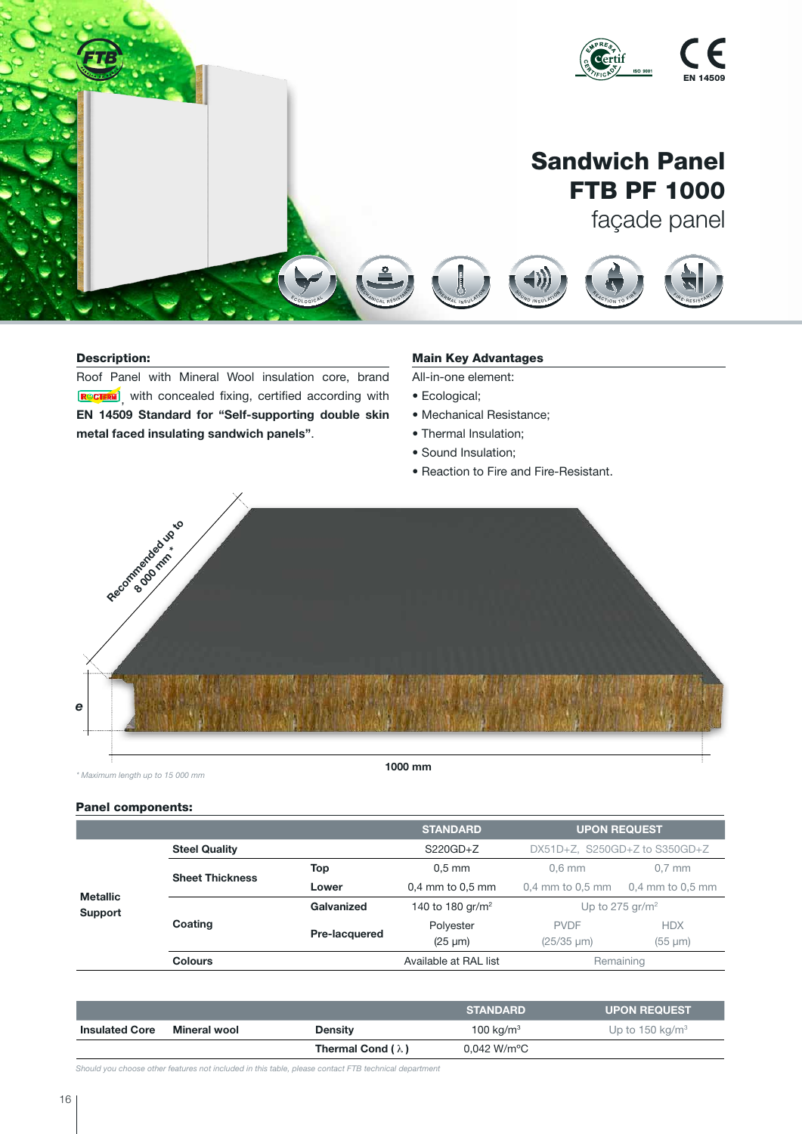

# Description:

Roof Panel with Mineral Wool insulation core, brand , with concealed fixing, certified according with EN 14509 Standard for "Self-supporting double skin metal faced insulating sandwich panels". S O U N D I O N D I O N<br>A C O U S O N D I O N SU LAT I O N

# **Main Key Advantages**

All-in-one element:

- Ecological;
- Mechanical Resistance;
- Thermal Insulation;
- Sound Insulation;
- Reaction to Fire and Fire-Resistant.

 $\mathcal{F}$ <sup>R</sup> <sup>E</sup> <sup>S</sup> <sup>I</sup> <sup>S</sup> <sup>T</sup><sup>A</sup> <sup>N</sup> <sup>T</sup> D <sup>U</sup> <sup>R</sup> <sup>A</sup> <sup>B</sup> <sup>L</sup> <sup>E</sup>

D <sup>U</sup> <sup>R</sup><sup>A</sup> <sup>B</sup> <sup>L</sup> <sup>E</sup>



*\* Maximum length up to 15 000 mm* 

## Panel components:

|                            |                        |               | <b>STANDARD</b>              | <b>UPON REQUEST</b>           |                  |
|----------------------------|------------------------|---------------|------------------------------|-------------------------------|------------------|
| <b>Metallic</b><br>Support | <b>Steel Quality</b>   |               | $S220GD + Z$                 | DX51D+Z, S250GD+Z to S350GD+Z |                  |
|                            | <b>Sheet Thickness</b> | Top           | $0.5$ mm                     | $0.6$ mm                      | $0.7$ mm         |
|                            |                        | Lower         | $0.4$ mm to $0.5$ mm         | $0.4$ mm to $0.5$ mm          | 0,4 mm to 0,5 mm |
|                            |                        | Galvanized    | 140 to 180 gr/m <sup>2</sup> | Up to 275 gr/m <sup>2</sup>   |                  |
|                            | Coating                | Pre-lacquered | Polyester                    | <b>PVDF</b>                   | <b>HDX</b>       |
|                            |                        |               | $(25 \mu m)$                 | $(25/35 \mu m)$               | $(55 \mu m)$     |
|                            | <b>Colours</b>         |               | Available at RAL list        | Remaining                     |                  |

|                       |              |                          | <b>STANDARD</b>          | <b>UPON REQUEST</b>         |
|-----------------------|--------------|--------------------------|--------------------------|-----------------------------|
| <b>Insulated Core</b> | Mineral wool | <b>Density</b>           | 100 kg/m <sup>3</sup>    | Up to 150 kg/m <sup>3</sup> |
|                       |              | Thermal Cond $(\lambda)$ | $0.042$ W/m $^{\circ}$ C |                             |

*Should you choose other features not included in this table, please contact FTB technical department*